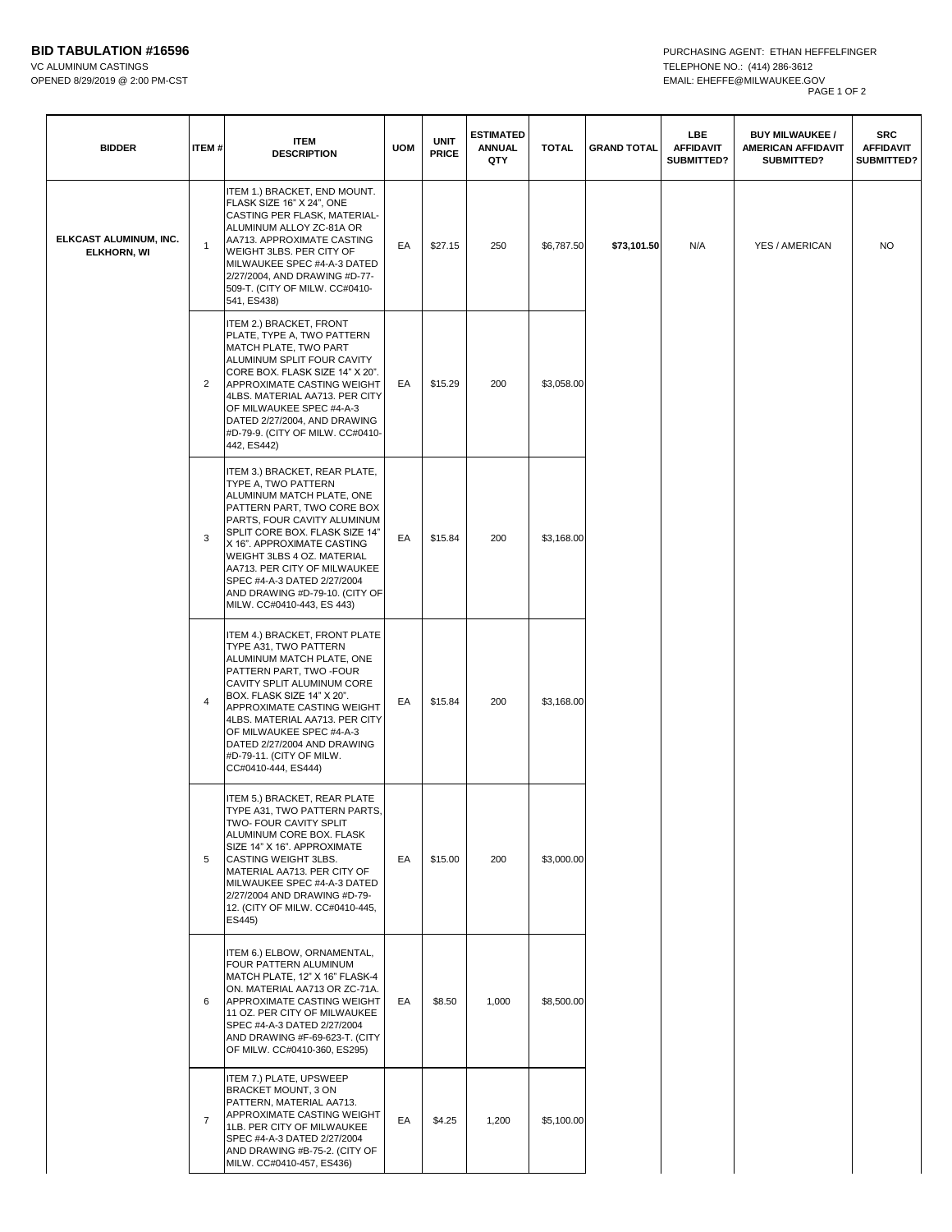| <b>BIDDER</b>                                | ITEM#          | <b>ITEM</b><br><b>DESCRIPTION</b>                                                                                                                                                                                                                                                                                                                                           | <b>UOM</b> | <b>UNIT</b><br><b>PRICE</b> | <b>ESTIMATED</b><br><b>ANNUAL</b><br>QTY | <b>TOTAL</b> | <b>GRAND TOTAL</b> | LBE<br><b>AFFIDAVIT</b><br>SUBMITTED? | <b>BUY MILWAUKEE /</b><br><b>AMERICAN AFFIDAVIT</b><br>SUBMITTED? | <b>SRC</b><br><b>AFFIDAVIT</b><br><b>SUBMITTED?</b> |
|----------------------------------------------|----------------|-----------------------------------------------------------------------------------------------------------------------------------------------------------------------------------------------------------------------------------------------------------------------------------------------------------------------------------------------------------------------------|------------|-----------------------------|------------------------------------------|--------------|--------------------|---------------------------------------|-------------------------------------------------------------------|-----------------------------------------------------|
| ELKCAST ALUMINUM, INC.<br><b>ELKHORN, WI</b> | $\overline{1}$ | ITEM 1.) BRACKET, END MOUNT.<br>FLASK SIZE 16" X 24", ONE<br>CASTING PER FLASK, MATERIAL-<br>ALUMINUM ALLOY ZC-81A OR<br>AA713. APPROXIMATE CASTING<br>WEIGHT 3LBS. PER CITY OF<br>MILWAUKEE SPEC #4-A-3 DATED<br>2/27/2004, AND DRAWING #D-77-<br>509-T. (CITY OF MILW. CC#0410-<br>541, ES438)                                                                            | EA         | \$27.15                     | 250                                      | \$6,787.50   | \$73,101.50        | N/A                                   | YES / AMERICAN                                                    | <b>NO</b>                                           |
|                                              | $\overline{2}$ | ITEM 2.) BRACKET, FRONT<br>PLATE, TYPE A, TWO PATTERN<br>MATCH PLATE, TWO PART<br>ALUMINUM SPLIT FOUR CAVITY<br>CORE BOX. FLASK SIZE 14" X 20".<br>APPROXIMATE CASTING WEIGHT<br>4LBS. MATERIAL AA713. PER CITY<br>OF MILWAUKEE SPEC #4-A-3<br>DATED 2/27/2004, AND DRAWING<br>#D-79-9. (CITY OF MILW. CC#0410-<br>442, ES442)                                              | EA         | \$15.29                     | 200                                      | \$3,058.00   |                    |                                       |                                                                   |                                                     |
|                                              | 3              | ITEM 3.) BRACKET, REAR PLATE,<br>TYPE A, TWO PATTERN<br>ALUMINUM MATCH PLATE, ONE<br>PATTERN PART, TWO CORE BOX<br>PARTS, FOUR CAVITY ALUMINUM<br>SPLIT CORE BOX. FLASK SIZE 14"<br>X 16". APPROXIMATE CASTING<br>WEIGHT 3LBS 4 OZ. MATERIAL<br>AA713. PER CITY OF MILWAUKEE<br>SPEC #4-A-3 DATED 2/27/2004<br>AND DRAWING #D-79-10. (CITY OF<br>MILW. CC#0410-443, ES 443) | EA         | \$15.84                     | 200                                      | \$3,168.00   |                    |                                       |                                                                   |                                                     |
|                                              | 4              | ITEM 4.) BRACKET, FRONT PLATE<br>TYPE A31, TWO PATTERN<br>ALUMINUM MATCH PLATE, ONE<br>PATTERN PART, TWO -FOUR<br>CAVITY SPLIT ALUMINUM CORE<br>BOX. FLASK SIZE 14" X 20".<br>APPROXIMATE CASTING WEIGHT<br>4LBS. MATERIAL AA713. PER CITY<br>OF MILWAUKEE SPEC #4-A-3<br>DATED 2/27/2004 AND DRAWING<br>#D-79-11. (CITY OF MILW.<br>CC#0410-444, ES444)                    | EA         | \$15.84                     | 200                                      | \$3,168.00   |                    |                                       |                                                                   |                                                     |
|                                              | 5              | ITEM 5.) BRACKET, REAR PLATE<br>TYPE A31, TWO PATTERN PARTS,<br>TWO- FOUR CAVITY SPLIT<br>ALUMINUM CORE BOX. FLASK<br>SIZE 14" X 16". APPROXIMATE<br>CASTING WEIGHT 3LBS.<br>MATERIAL AA713. PER CITY OF<br>MILWAUKEE SPEC #4-A-3 DATED<br>2/27/2004 AND DRAWING #D-79-<br>12. (CITY OF MILW. CC#0410-445,<br>ES445)                                                        | EA         | \$15.00                     | 200                                      | \$3,000.00   |                    |                                       |                                                                   |                                                     |
|                                              | 6              | ITEM 6.) ELBOW, ORNAMENTAL,<br>FOUR PATTERN ALUMINUM<br>MATCH PLATE, 12" X 16" FLASK-4<br>ON. MATERIAL AA713 OR ZC-71A.<br>APPROXIMATE CASTING WEIGHT<br>11 OZ. PER CITY OF MILWAUKEE<br>SPEC #4-A-3 DATED 2/27/2004<br>AND DRAWING #F-69-623-T. (CITY<br>OF MILW. CC#0410-360, ES295)                                                                                      | EA         | \$8.50                      | 1,000                                    | \$8,500.00   |                    |                                       |                                                                   |                                                     |
|                                              | $\overline{7}$ | ITEM 7.) PLATE, UPSWEEP<br>BRACKET MOUNT, 3 ON<br>PATTERN, MATERIAL AA713.<br>APPROXIMATE CASTING WEIGHT<br>1LB. PER CITY OF MILWAUKEE<br>SPEC #4-A-3 DATED 2/27/2004<br>AND DRAWING #B-75-2. (CITY OF<br>MILW. CC#0410-457, ES436)                                                                                                                                         | EA         | \$4.25                      | 1,200                                    | \$5,100.00   |                    |                                       |                                                                   |                                                     |